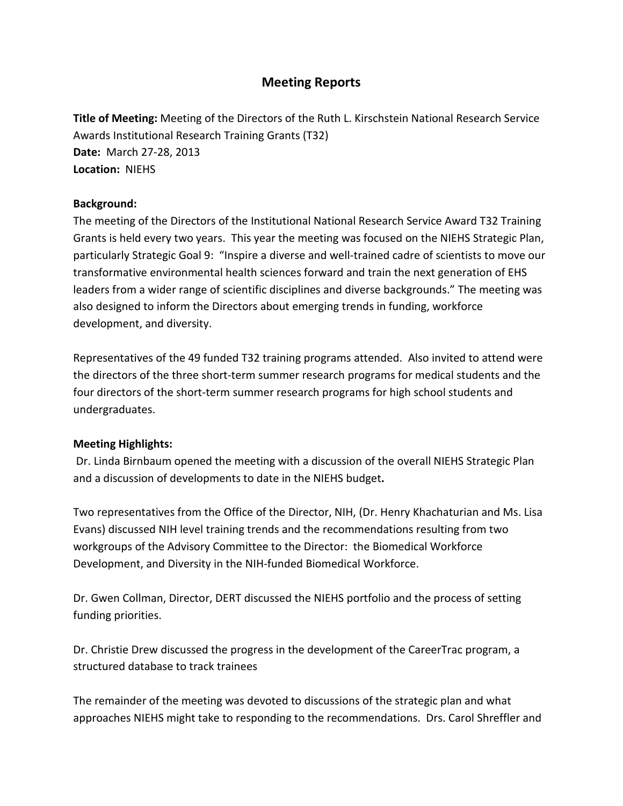## **Meeting Reports**

 **Date:** March 27-28, 2013  **Location:** NIEHS **Title of Meeting:** Meeting of the Directors of the Ruth L. Kirschstein National Research Service Awards Institutional Research Training Grants (T32)

#### **Background:**

 The meeting of the Directors of the Institutional National Research Service Award T32 Training Grants is held every two years. This year the meeting was focused on the NIEHS Strategic Plan, particularly Strategic Goal 9: "Inspire a diverse and well-trained cadre of scientists to move our transformative environmental health sciences forward and train the next generation of EHS leaders from a wider range of scientific disciplines and diverse backgrounds." The meeting was also designed to inform the Directors about emerging trends in funding, workforce development, and diversity.

 the directors of the three short-term summer research programs for medical students and the four directors of the short-term summer research programs for high school students and Representatives of the 49 funded T32 training programs attended. Also invited to attend were undergraduates.

### **Meeting Highlights:**

 and a discussion of developments to date in the NIEHS budget**.**  Dr. Linda Birnbaum opened the meeting with a discussion of the overall NIEHS Strategic Plan

 Evans) discussed NIH level training trends and the recommendations resulting from two workgroups of the Advisory Committee to the Director: the Biomedical Workforce Development, and Diversity in the NIH-funded Biomedical Workforce. Two representatives from the Office of the Director, NIH, (Dr. Henry Khachaturian and Ms. Lisa

Development, and Diversity in the NIH-funded Biomedical Workforce.<br>Dr. Gwen Collman, Director, DERT discussed the NIEHS portfolio and the process of setting funding priorities.

Dr. Christie Drew discussed the progress in the development of the CareerTrac program, a structured database to track trainees

 approaches NIEHS might take to responding to the recommendations. Drs. Carol Shreffler and The remainder of the meeting was devoted to discussions of the strategic plan and what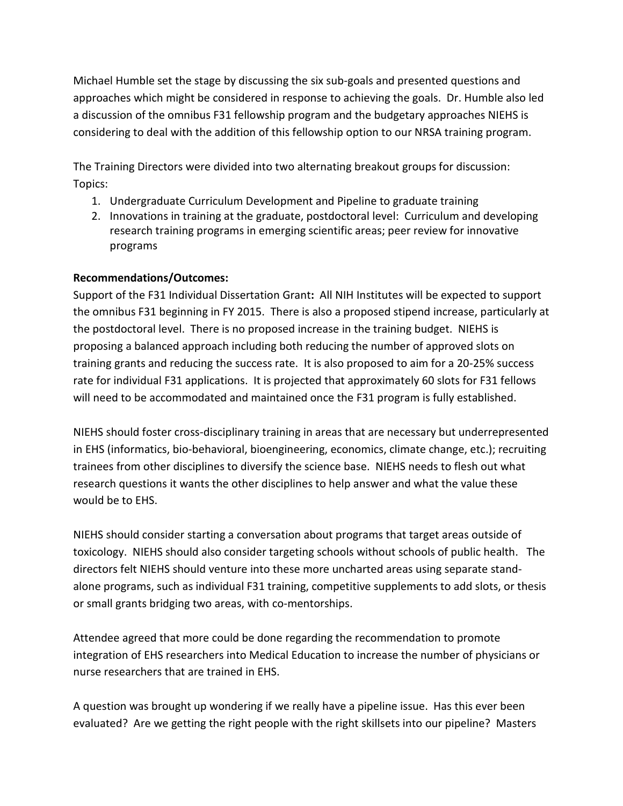considering to deal with the addition of this fellowship option to our NRSA training program. Michael Humble set the stage by discussing the six sub-goals and presented questions and approaches which might be considered in response to achieving the goals. Dr. Humble also led a discussion of the omnibus F31 fellowship program and the budgetary approaches NIEHS is

 The Training Directors were divided into two alternating breakout groups for discussion: Topics:

- 1. Undergraduate Curriculum Development and Pipeline to graduate training
- research training programs in emerging scientific areas; peer review for innovative 2. Innovations in training at the graduate, postdoctoral level: Curriculum and developing programs

## **Recommendations/Outcomes:**

 the postdoctoral level. There is no proposed increase in the training budget. NIEHS is proposing a balanced approach including both reducing the number of approved slots on rate for individual F31 applications. It is projected that approximately 60 slots for F31 fellows will need to be accommodated and maintained once the F31 program is fully established. Support of the F31 Individual Dissertation Grant**:** All NIH Institutes will be expected to support the omnibus F31 beginning in FY 2015. There is also a proposed stipend increase, particularly at training grants and reducing the success rate. It is also proposed to aim for a 20-25% success

 trainees from other disciplines to diversify the science base. NIEHS needs to flesh out what research questions it wants the other disciplines to help answer and what the value these would be to EHS. NIEHS should foster cross-disciplinary training in areas that are necessary but underrepresented in EHS (informatics, bio-behavioral, bioengineering, economics, climate change, etc.); recruiting

would be to EHS.<br>NIEHS should consider starting a conversation about programs that target areas outside of toxicology. NIEHS should also consider targeting schools without schools of public health. The alone programs, such as individual F31 training, competitive supplements to add slots, or thesis or small grants bridging two areas, with co-mentorships. directors felt NIEHS should venture into these more uncharted areas using separate stand-

nurse researchers that are trained in EHS. Attendee agreed that more could be done regarding the recommendation to promote integration of EHS researchers into Medical Education to increase the number of physicians or

nurse researchers that are trained in EHS.<br>A question was brought up wondering if we really have a pipeline issue. Has this ever been evaluated? Are we getting the right people with the right skillsets into our pipeline? Masters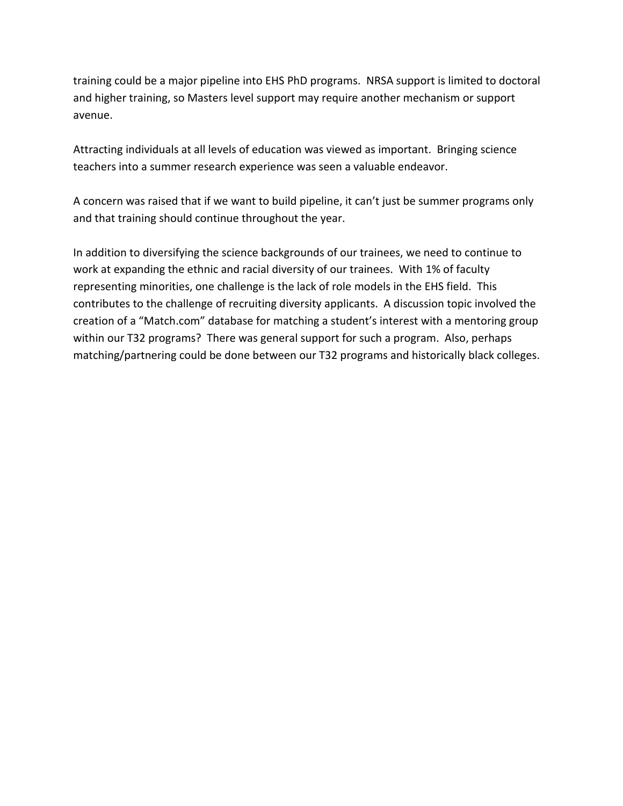training could be a major pipeline into EHS PhD programs. NRSA support is limited to doctoral and higher training, so Masters level support may require another mechanism or support avenue.

 Attracting individuals at all levels of education was viewed as important. Bringing science teachers into a summer research experience was seen a valuable endeavor.

 A concern was raised that if we want to build pipeline, it can't just be summer programs only and that training should continue throughout the year.

 In addition to diversifying the science backgrounds of our trainees, we need to continue to representing minorities, one challenge is the lack of role models in the EHS field. This contributes to the challenge of recruiting diversity applicants. A discussion topic involved the within our T32 programs? There was general support for such a program. Also, perhaps work at expanding the ethnic and racial diversity of our trainees. With 1% of faculty creation of a "Match.com" database for matching a student's interest with a mentoring group matching/partnering could be done between our T32 programs and historically black colleges.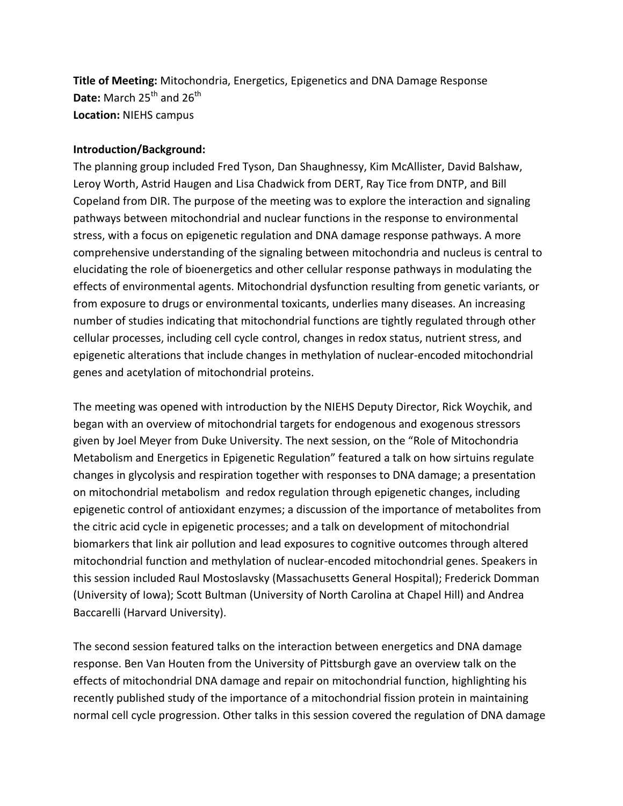**Title of Meeting:** Mitochondria, Energetics, Epigenetics and DNA Damage Response **Date:** March 25<sup>th</sup> and 26<sup>th</sup> **Location:** NIEHS campus

#### **Introduction/Background:**

 Leroy Worth, Astrid Haugen and Lisa Chadwick from DERT, Ray Tice from DNTP, and Bill Copeland from DIR. The purpose of the meeting was to explore the interaction and signaling elucidating the role of bioenergetics and other cellular response pathways in modulating the effects of environmental agents. Mitochondrial dysfunction resulting from genetic variants, or from exposure to drugs or environmental toxicants, underlies many diseases. An increasing The planning group included Fred Tyson, Dan Shaughnessy, Kim McAllister, David Balshaw, pathways between mitochondrial and nuclear functions in the response to environmental stress, with a focus on epigenetic regulation and DNA damage response pathways. A more comprehensive understanding of the signaling between mitochondria and nucleus is central to number of studies indicating that mitochondrial functions are tightly regulated through other cellular processes, including cell cycle control, changes in redox status, nutrient stress, and epigenetic alterations that include changes in methylation of nuclear-encoded mitochondrial genes and acetylation of mitochondrial proteins.

 The meeting was opened with introduction by the NIEHS Deputy Director, Rick Woychik, and began with an overview of mitochondrial targets for endogenous and exogenous stressors changes in glycolysis and respiration together with responses to DNA damage; a presentation (University of Iowa); Scott Bultman (University of North Carolina at Chapel Hill) and Andrea given by Joel Meyer from Duke University. The next session, on the "Role of Mitochondria Metabolism and Energetics in Epigenetic Regulation" featured a talk on how sirtuins regulate on mitochondrial metabolism and redox regulation through epigenetic changes, including epigenetic control of antioxidant enzymes; a discussion of the importance of metabolites from the citric acid cycle in epigenetic processes; and a talk on development of mitochondrial biomarkers that link air pollution and lead exposures to cognitive outcomes through altered mitochondrial function and methylation of nuclear-encoded mitochondrial genes. Speakers in this session included Raul Mostoslavsky (Massachusetts General Hospital); Frederick Domman Baccarelli (Harvard University).

 effects of mitochondrial DNA damage and repair on mitochondrial function, highlighting his The second session featured talks on the interaction between energetics and DNA damage response. Ben Van Houten from the University of Pittsburgh gave an overview talk on the recently published study of the importance of a mitochondrial fission protein in maintaining normal cell cycle progression. Other talks in this session covered the regulation of DNA damage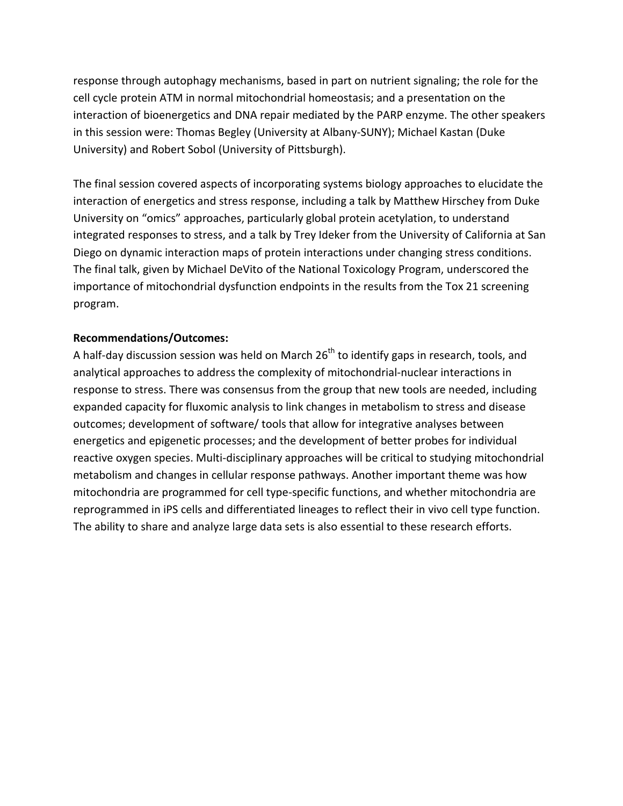response through autophagy mechanisms, based in part on nutrient signaling; the role for the cell cycle protein ATM in normal mitochondrial homeostasis; and a presentation on the interaction of bioenergetics and DNA repair mediated by the PARP enzyme. The other speakers in this session were: Thomas Begley (University at Albany-SUNY); Michael Kastan (Duke University) and Robert Sobol (University of Pittsburgh).

 The final session covered aspects of incorporating systems biology approaches to elucidate the interaction of energetics and stress response, including a talk by Matthew Hirschey from Duke integrated responses to stress, and a talk by Trey Ideker from the University of California at San Diego on dynamic interaction maps of protein interactions under changing stress conditions. The final talk, given by Michael DeVito of the National Toxicology Program, underscored the University on "omics" approaches, particularly global protein acetylation, to understand importance of mitochondrial dysfunction endpoints in the results from the Tox 21 screening program.

#### **Recommendations/Outcomes:**

 analytical approaches to address the complexity of mitochondrial-nuclear interactions in expanded capacity for fluxomic analysis to link changes in metabolism to stress and disease outcomes; development of software/ tools that allow for integrative analyses between energetics and epigenetic processes; and the development of better probes for individual metabolism and changes in cellular response pathways. Another important theme was how reprogrammed in iPS cells and differentiated lineages to reflect their in vivo cell type function. The ability to share and analyze large data sets is also essential to these research efforts. A half-day discussion session was held on March  $26<sup>th</sup>$  to identify gaps in research, tools, and response to stress. There was consensus from the group that new tools are needed, including reactive oxygen species. Multi-disciplinary approaches will be critical to studying mitochondrial mitochondria are programmed for cell type-specific functions, and whether mitochondria are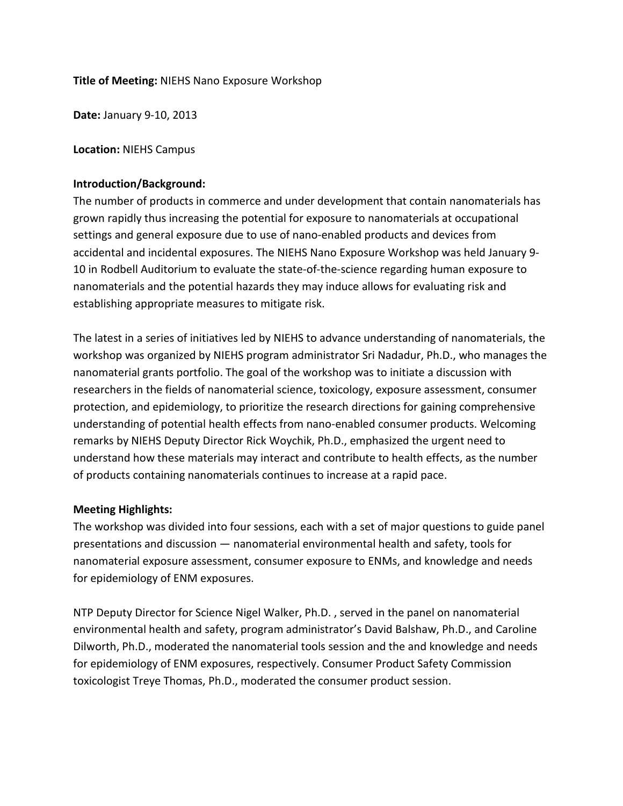#### **Title of Meeting:** NIEHS Nano Exposure Workshop

**Date:** January 9-10, 2013

**Location:** NIEHS Campus

#### **Introduction/Background:**

 settings and general exposure due to use of nano-enabled products and devices from nanomaterials and the potential hazards they may induce allows for evaluating risk and The number of products in commerce and under development that contain nanomaterials has grown rapidly thus increasing the potential for exposure to nanomaterials at occupational accidental and incidental exposures. The NIEHS Nano Exposure Workshop was held January 9- 10 in Rodbell Auditorium to evaluate the state-of-the-science regarding human exposure to establishing appropriate measures to mitigate risk.

 The latest in a series of initiatives led by NIEHS to advance understanding of nanomaterials, the workshop was organized by NIEHS program administrator Sri Nadadur, Ph.D., who manages the nanomaterial grants portfolio. The goal of the workshop was to initiate a discussion with researchers in the fields of nanomaterial science, toxicology, exposure assessment, consumer understand how these materials may interact and contribute to health effects, as the number protection, and epidemiology, to prioritize the research directions for gaining comprehensive understanding of potential health effects from nano-enabled consumer products. Welcoming remarks by NIEHS Deputy Director Rick Woychik, Ph.D., emphasized the urgent need to of products containing nanomaterials continues to increase at a rapid pace.

#### **Meeting Highlights:**

 The workshop was divided into four sessions, each with a set of major questions to guide panel presentations and discussion — nanomaterial environmental health and safety, tools for for epidemiology of ENM exposures. nanomaterial exposure assessment, consumer exposure to ENMs, and knowledge and needs

 environmental health and safety, program administrator's David Balshaw, Ph.D., and Caroline for epidemiology of ENM exposures, respectively. Consumer Product Safety Commission NTP Deputy Director for Science Nigel Walker, Ph.D. , served in the panel on nanomaterial Dilworth, Ph.D., moderated the nanomaterial tools session and the and knowledge and needs toxicologist Treye Thomas, Ph.D., moderated the consumer product session.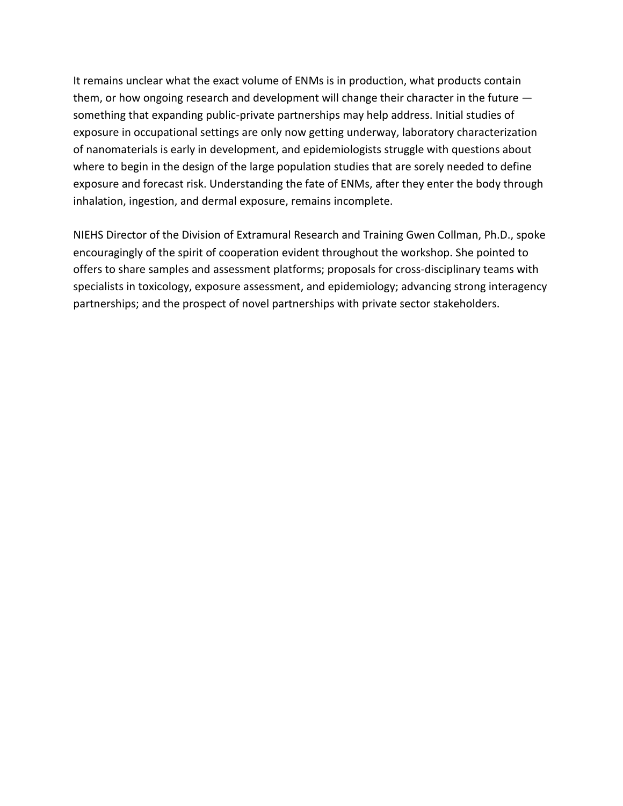them, or how ongoing research and development will change their character in the future — something that expanding public-private partnerships may help address. Initial studies of of nanomaterials is early in development, and epidemiologists struggle with questions about where to begin in the design of the large population studies that are sorely needed to define exposure and forecast risk. Understanding the fate of ENMs, after they enter the body through It remains unclear what the exact volume of ENMs is in production, what products contain exposure in occupational settings are only now getting underway, laboratory characterization inhalation, ingestion, and dermal exposure, remains incomplete.

 offers to share samples and assessment platforms; proposals for cross-disciplinary teams with specialists in toxicology, exposure assessment, and epidemiology; advancing strong interagency NIEHS Director of the Division of Extramural Research and Training Gwen Collman, Ph.D., spoke encouragingly of the spirit of cooperation evident throughout the workshop. She pointed to partnerships; and the prospect of novel partnerships with private sector stakeholders.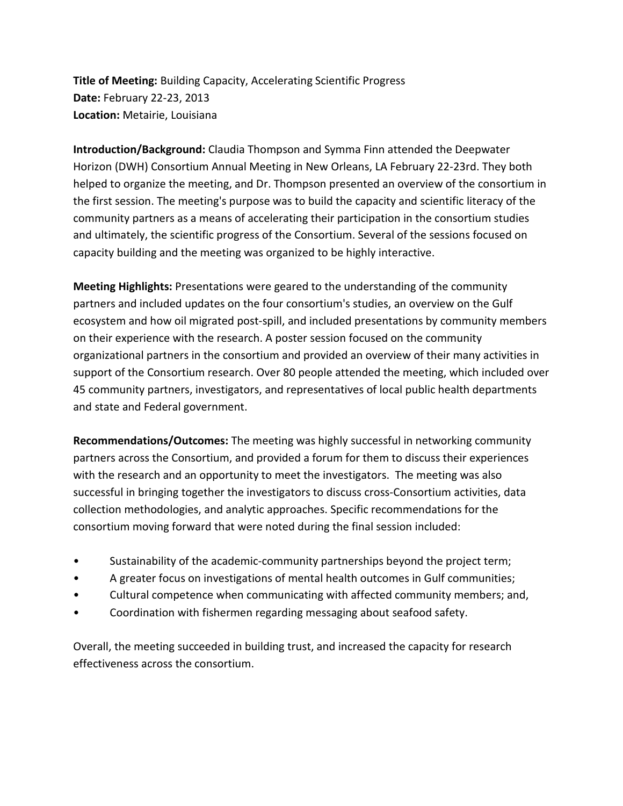**Title of Meeting:** Building Capacity, Accelerating Scientific Progress **Date:** February 22-23, 2013 **Location:** Metairie, Louisiana

 helped to organize the meeting, and Dr. Thompson presented an overview of the consortium in and ultimately, the scientific progress of the Consortium. Several of the sessions focused on **Introduction/Background:** Claudia Thompson and Symma Finn attended the Deepwater Horizon (DWH) Consortium Annual Meeting in New Orleans, LA February 22-23rd. They both the first session. The meeting's purpose was to build the capacity and scientific literacy of the community partners as a means of accelerating their participation in the consortium studies capacity building and the meeting was organized to be highly interactive.

 ecosystem and how oil migrated post-spill, and included presentations by community members **Meeting Highlights:** Presentations were geared to the understanding of the community partners and included updates on the four consortium's studies, an overview on the Gulf on their experience with the research. A poster session focused on the community organizational partners in the consortium and provided an overview of their many activities in support of the Consortium research. Over 80 people attended the meeting, which included over 45 community partners, investigators, and representatives of local public health departments and state and Federal government.

**Recommendations/Outcomes:** The meeting was highly successful in networking community partners across the Consortium, and provided a forum for them to discuss their experiences with the research and an opportunity to meet the investigators. The meeting was also successful in bringing together the investigators to discuss cross-Consortium activities, data collection methodologies, and analytic approaches. Specific recommendations for the consortium moving forward that were noted during the final session included:

- Sustainability of the academic-community partnerships beyond the project term;
- A greater focus on investigations of mental health outcomes in Gulf communities;
- Cultural competence when communicating with affected community members; and,
- Coordination with fishermen regarding messaging about seafood safety.

Overall, the meeting succeeded in building trust, and increased the capacity for research effectiveness across the consortium.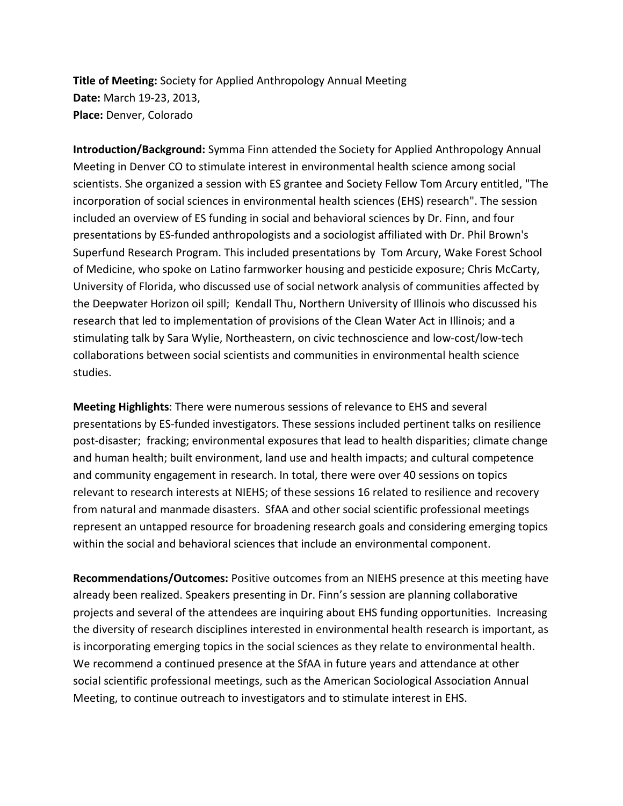**Title of Meeting:** Society for Applied Anthropology Annual Meeting **Date:** March 19-23, 2013, **Place:** Denver, Colorado

 included an overview of ES funding in social and behavioral sciences by Dr. Finn, and four University of Florida, who discussed use of social network analysis of communities affected by studies. **Introduction/Background:** Symma Finn attended the Society for Applied Anthropology Annual Meeting in Denver CO to stimulate interest in environmental health science among social scientists. She organized a session with ES grantee and Society Fellow Tom Arcury entitled, "The incorporation of social sciences in environmental health sciences (EHS) research". The session presentations by ES-funded anthropologists and a sociologist affiliated with Dr. Phil Brown's Superfund Research Program. This included presentations by Tom Arcury, Wake Forest School of Medicine, who spoke on Latino farmworker housing and pesticide exposure; Chris McCarty, the Deepwater Horizon oil spill; Kendall Thu, Northern University of Illinois who discussed his research that led to implementation of provisions of the Clean Water Act in Illinois; and a stimulating talk by Sara Wylie, Northeastern, on civic technoscience and low-cost/low-tech collaborations between social scientists and communities in environmental health science

 post-disaster; fracking; environmental exposures that lead to health disparities; climate change from natural and manmade disasters. SfAA and other social scientific professional meetings within the social and behavioral sciences that include an environmental component. **Meeting Highlights**: There were numerous sessions of relevance to EHS and several presentations by ES-funded investigators. These sessions included pertinent talks on resilience and human health; built environment, land use and health impacts; and cultural competence and community engagement in research. In total, there were over 40 sessions on topics relevant to research interests at NIEHS; of these sessions 16 related to resilience and recovery represent an untapped resource for broadening research goals and considering emerging topics

 already been realized. Speakers presenting in Dr. Finn's session are planning collaborative projects and several of the attendees are inquiring about EHS funding opportunities. Increasing is incorporating emerging topics in the social sciences as they relate to environmental health. Meeting, to continue outreach to investigators and to stimulate interest in EHS. **Recommendations/Outcomes:** Positive outcomes from an NIEHS presence at this meeting have the diversity of research disciplines interested in environmental health research is important, as We recommend a continued presence at the SfAA in future years and attendance at other social scientific professional meetings, such as the American Sociological Association Annual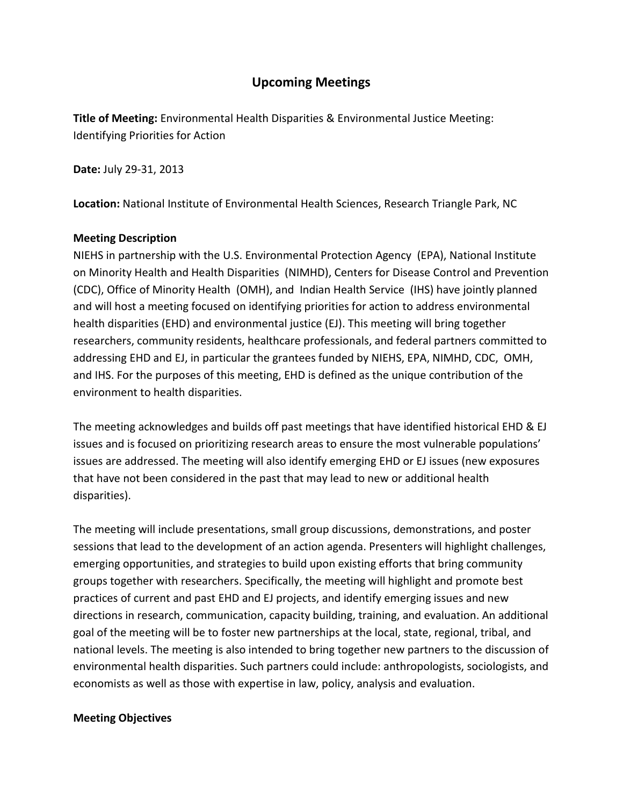# **Upcoming Meetings**

**Title of Meeting:** Environmental Health Disparities & Environmental Justice Meeting: Identifying Priorities for Action

**Date:** July 29-31, 2013

**Location:** National Institute of Environmental Health Sciences, Research Triangle Park, NC

### **Meeting Description**

 on Minority Health and Health Disparities (NIMHD), Centers for Disease Control and Prevention and will host a meeting focused on identifying priorities for action to address environmental health disparities (EHD) and environmental justice (EJ). This meeting will bring together researchers, community residents, healthcare professionals, and federal partners committed to addressing EHD and EJ, in particular the grantees funded by NIEHS, EPA, NIMHD, CDC, OMH, and IHS. For the purposes of this meeting, EHD is defined as the unique contribution of the NIEHS in partnership with the U.S. Environmental Protection Agency (EPA), National Institute (CDC), Office of Minority Health (OMH), and Indian Health Service (IHS) have jointly planned environment to health disparities.

 The meeting acknowledges and builds off past meetings that have identified historical EHD & EJ issues and is focused on prioritizing research areas to ensure the most vulnerable populations' issues are addressed. The meeting will also identify emerging EHD or EJ issues (new exposures that have not been considered in the past that may lead to new or additional health disparities).

 sessions that lead to the development of an action agenda. Presenters will highlight challenges, emerging opportunities, and strategies to build upon existing efforts that bring community goal of the meeting will be to foster new partnerships at the local, state, regional, tribal, and The meeting will include presentations, small group discussions, demonstrations, and poster groups together with researchers. Specifically, the meeting will highlight and promote best practices of current and past EHD and EJ projects, and identify emerging issues and new directions in research, communication, capacity building, training, and evaluation. An additional national levels. The meeting is also intended to bring together new partners to the discussion of environmental health disparities. Such partners could include: anthropologists, sociologists, and economists as well as those with expertise in law, policy, analysis and evaluation.

#### **Meeting Objectives**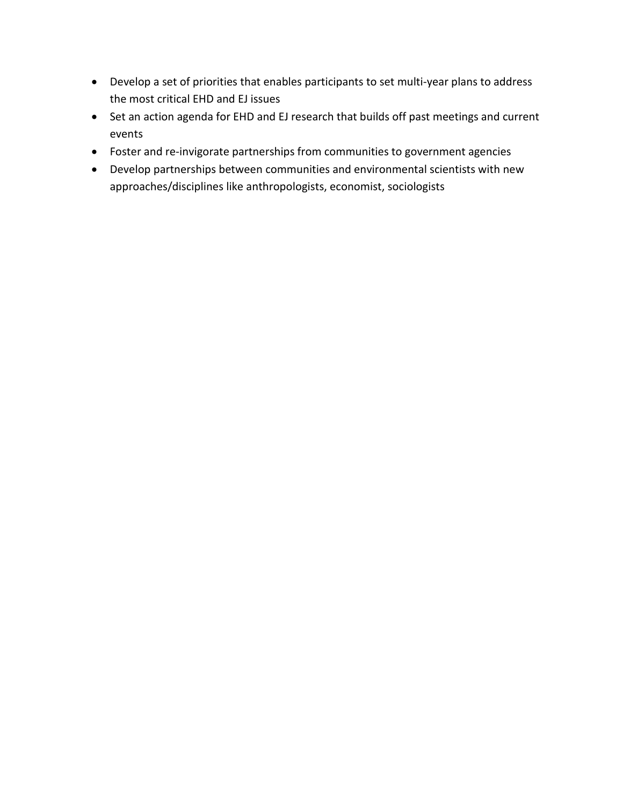- • Develop a set of priorities that enables participants to set multi-year plans to address the most critical EHD and EJ issues
- Set an action agenda for EHD and EJ research that builds off past meetings and current events
- **•** Foster and re-invigorate partnerships from communities to government agencies
- Develop partnerships between communities and environmental scientists with new approaches/disciplines like anthropologists, economist, sociologists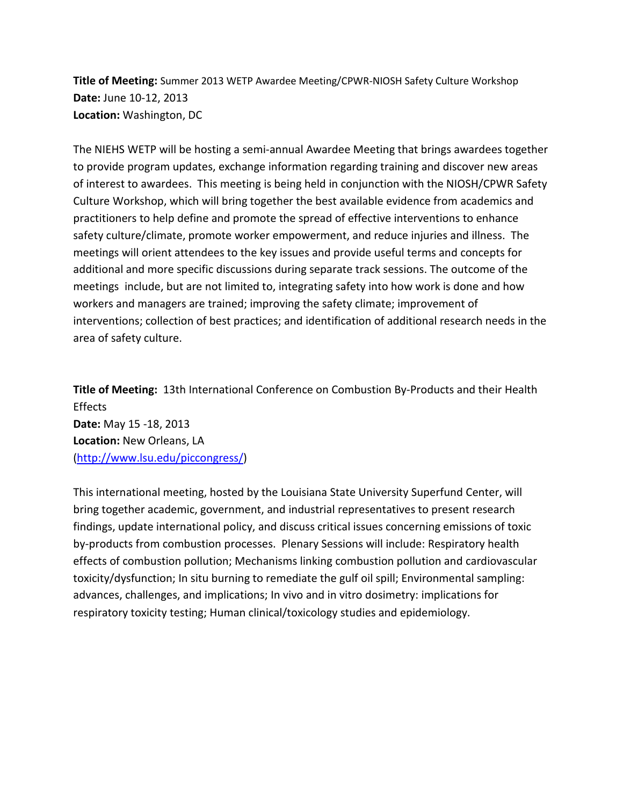**Title of Meeting:** Summer 2013 WETP Awardee Meeting/CPWR-NIOSH Safety Culture Workshop **Date:** June 10-12, 2013 **Location:** Washington, DC

 The NIEHS WETP will be hosting a semi-annual Awardee Meeting that brings awardees together to provide program updates, exchange information regarding training and discover new areas of interest to awardees. This meeting is being held in conjunction with the NIOSH/CPWR Safety Culture Workshop, which will bring together the best available evidence from academics and meetings will orient attendees to the key issues and provide useful terms and concepts for practitioners to help define and promote the spread of effective interventions to enhance safety culture/climate, promote worker empowerment, and reduce injuries and illness. The additional and more specific discussions during separate track sessions. The outcome of the meetings include, but are not limited to, integrating safety into how work is done and how workers and managers are trained; improving the safety climate; improvement of interventions; collection of best practices; and identification of additional research needs in the area of safety culture.

 **Title of Meeting:** 13th International Conference on Combustion By-Products and their Health Effects **Date:** May 15 -18, 2013 **Location:** New Orleans, LA [\(http://www.lsu.edu/piccongress/\)](http://www.lsu.edu/piccongress/)

 bring together academic, government, and industrial representatives to present research findings, update international policy, and discuss critical issues concerning emissions of toxic by-products from combustion processes. Plenary Sessions will include: Respiratory health advances, challenges, and implications; In vivo and in vitro dosimetry: implications for This international meeting, hosted by the Louisiana State University Superfund Center, will effects of combustion pollution; Mechanisms linking combustion pollution and cardiovascular toxicity/dysfunction; In situ burning to remediate the gulf oil spill; Environmental sampling: respiratory toxicity testing; Human clinical/toxicology studies and epidemiology.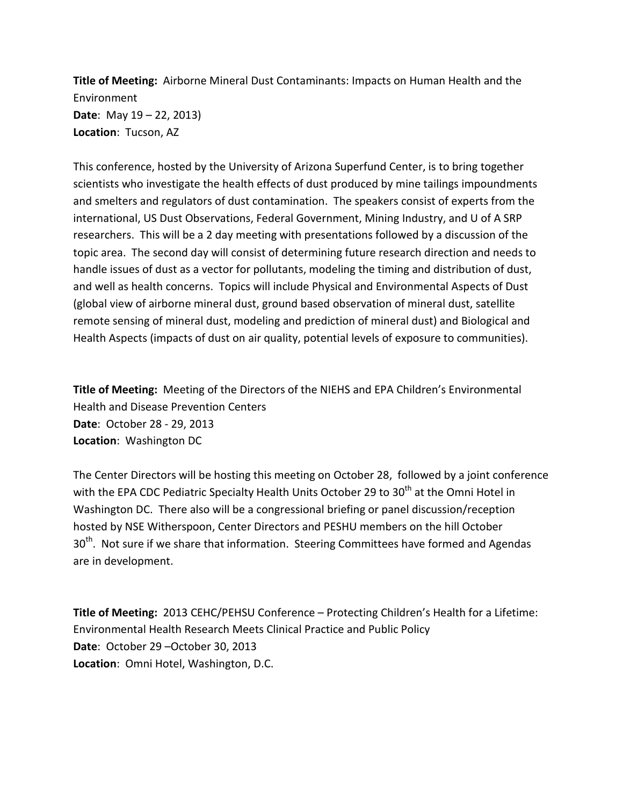**Title of Meeting:** Airborne Mineral Dust Contaminants: Impacts on Human Health and the Environment **Date**: May 19 – 22, 2013) **Location**: Tucson, AZ

 scientists who investigate the health effects of dust produced by mine tailings impoundments and smelters and regulators of dust contamination. The speakers consist of experts from the international, US Dust Observations, Federal Government, Mining Industry, and U of A SRP researchers. This will be a 2 day meeting with presentations followed by a discussion of the topic area. The second day will consist of determining future research direction and needs to and well as health concerns. Topics will include Physical and Environmental Aspects of Dust Health Aspects (impacts of dust on air quality, potential levels of exposure to communities). This conference, hosted by the University of Arizona Superfund Center, is to bring together handle issues of dust as a vector for pollutants, modeling the timing and distribution of dust, (global view of airborne mineral dust, ground based observation of mineral dust, satellite remote sensing of mineral dust, modeling and prediction of mineral dust) and Biological and

 **Title of Meeting:** Meeting of the Directors of the NIEHS and EPA Children's Environmental **Date**: October 28 - 29, 2013 Health and Disease Prevention Centers **Location**: Washington DC

 Washington DC. There also will be a congressional briefing or panel discussion/reception  $30<sup>th</sup>$ . Not sure if we share that information. Steering Committees have formed and Agendas The Center Directors will be hosting this meeting on October 28, followed by a joint conference with the EPA CDC Pediatric Specialty Health Units October 29 to 30<sup>th</sup> at the Omni Hotel in hosted by NSE Witherspoon, Center Directors and PESHU members on the hill October are in development.

 **Title of Meeting:** 2013 CEHC/PEHSU Conference – Protecting Children's Health for a Lifetime: Environmental Health Research Meets Clinical Practice and Public Policy **Date**: October 29 –October 30, 2013 **Location**: Omni Hotel, Washington, D.C.